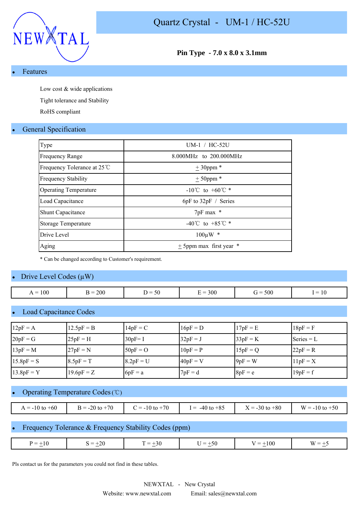



**Pin Type - 7.0 x 8.0 x 3.1mm**

#### **Features**

Low cost & wide applications

Tight tolerance and Stability

RoHS compliant

# **General Specification**

| Type                         | $UM-1$ / $HC-52U$                    |
|------------------------------|--------------------------------------|
| <b>Frequency Range</b>       | 8.000MHz to 200.000MHz               |
| Frequency Tolerance at 25 ℃  | $± 30$ ppm *                         |
| <b>Frequency Stability</b>   | $± 50$ ppm $*$                       |
| <b>Operating Temperature</b> | $-10^{\circ}$ C to $+60^{\circ}$ C * |
| Load Capacitance             | $6pF$ to $32pF /$ Series             |
| <b>Shunt Capacitance</b>     | $7pF$ max $*$                        |
| <b>Storage Temperature</b>   | -40°C to +85°C $*$                   |
| Drive Level                  | $100 \mu W$ *                        |
| Aging                        | $\pm$ 5ppm max first year $*$        |

\* Can be changed according to Customer's requirement.

### Drive Level Codes  $(\mu W)$

| 100<br>$=$<br>$\overline{1}$ | 200 | $\sim$<br>50<br>. . | 300 | 500<br>$\overline{\phantom{a}}$ | $\overline{\phantom{a}}$<br>ΙV |
|------------------------------|-----|---------------------|-----|---------------------------------|--------------------------------|

### Load Capacitance Codes

| $12pF = A$   | $12.5pF = B$ | $14pF = C$  | $16pF = D$ | $17pF = E$ | $18pF = F$   |
|--------------|--------------|-------------|------------|------------|--------------|
| $20pF = G$   | $25pF = H$   | $30pF = I$  | $32pF = J$ | $33pF = K$ | Series $= L$ |
| $13pF = M$   | $27pF = N$   | $50pF = O$  | $10pF = P$ | $15pF = Q$ | $22pF = R$   |
| $15.8pF = S$ | $8.5pF = T$  | $8.2pF = U$ | $40pF = V$ | $9pF = W$  | $11pF = X$   |
| $13.8pF = Y$ | $19.6pF = Z$ | $6pF = a$   | $7pF = d$  | $8pF = e$  | $19pF = f$   |

#### Operating Temperature Codes (℃)

| -60<br>$\lambda = -10$ to $+\infty$ . | $+70$<br>$-20$ to<br>$\mathbf{u}$ $-$<br>∠∪ | $+70$<br>$i = -10$ to $i$ | $-40$ to $+85$<br>$=$ | $X = -30$ to $+80$ | $W = -10$ to $+50$ |
|---------------------------------------|---------------------------------------------|---------------------------|-----------------------|--------------------|--------------------|

# Frequency Tolerance & Frequency Stability Codes (ppm)

| 100<br>nr<br>$=$<br>$\overline{\phantom{0}}$<br>$=$<br>$50^{\circ}$<br>$\cdots$<br>--<br>-<br>$\overline{\phantom{a}}$<br>יי<br>-∠u<br>$ -$<br>$\sim$<br>—<br>$-7$<br>$ -$<br>$-$ |  |  |  |
|-----------------------------------------------------------------------------------------------------------------------------------------------------------------------------------|--|--|--|
|                                                                                                                                                                                   |  |  |  |
|                                                                                                                                                                                   |  |  |  |

Pls contact us for the parameters you could not find in these tables.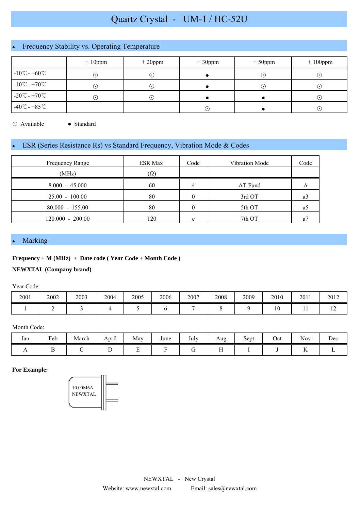# Quartz Crystal - UM-1 / HC-52U

# Frequency Stability vs. Operating Temperature

|                                    | $\pm 10$ ppm | $\pm 20$ ppm               | $\pm 30$ ppm | $± 50$ ppm | $\pm 100$ ppm |
|------------------------------------|--------------|----------------------------|--------------|------------|---------------|
| $-10^{\circ}$ C - +60 $^{\circ}$ C | ⊙            | $(\,\boldsymbol{\cdot}\,)$ |              |            | $(\cdot)$     |
| $-10^{\circ}$ C - $+70^{\circ}$ C  | ⊙            | $(\,\boldsymbol{\cdot}\,)$ |              | ۰.         | $(\cdot)$     |
| $-20^{\circ}$ C - +70 $^{\circ}$ C | ∩            | $(\bullet)$                |              |            | $(\cdot)$     |
| $-40^{\circ}$ C - $+85^{\circ}$ C  |              |                            | (•)          |            | $(\cdot)$     |

⊙ Available ● Standard

# ESR (Series Resistance Rs) vs Standard Frequency, Vibration Mode & Codes

| Frequency Range    | <b>ESR Max</b> | Code     | Vibration Mode | Code |
|--------------------|----------------|----------|----------------|------|
| (MHz)              | $(\Omega)$     |          |                |      |
| $8.000 - 45.000$   | 60             |          | AT Fund        |      |
| $25.00 - 100.00$   | 80             | 0        | 3rd OT         | a3   |
| $80.000 - 155.00$  | 80             | $\theta$ | 5th OT         | a    |
| $120.000 - 200.00$ | 120            | e        | 7th OT         | а    |

#### **Marking**

#### **Frequency + M (MHz) + Date code ( Year Code + Month Code )**

#### **NEWXTAL (Company brand)**

Year Code:

| 2001 | 2002 | 2003 | 2004 | 2005 | 2006 | 2007 | 2008 | 2009 | 2010 | 2011 | 2012 |
|------|------|------|------|------|------|------|------|------|------|------|------|
|      |      |      |      |      |      |      |      |      | ιv   |      | . .  |

#### Month Code:

| Jan | $\mathbf{r}$ 1<br>Feb | . .<br>March | $\cdot$ .<br>April | May                                  | June | July | Aug     | $\sim$<br>Sept<br>$\overline{\phantom{a}}$ | Oct | $\sim$ $\sim$<br><b>Nov</b> | Dec |
|-----|-----------------------|--------------|--------------------|--------------------------------------|------|------|---------|--------------------------------------------|-----|-----------------------------|-----|
| . . |                       |              | -                  | $\overline{\phantom{0}}$<br><u>.</u> |      |      | - -<br> |                                            |     | --<br>$\overline{1}$        |     |

#### **For Example:**

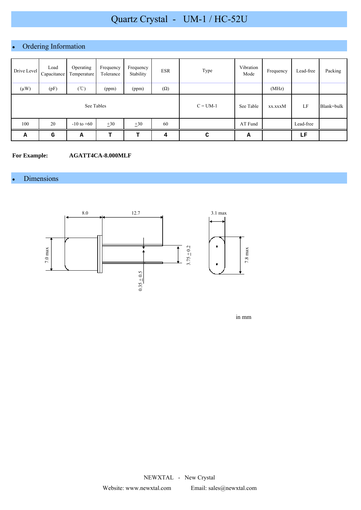# Quartz Crystal - UM-1 / HC-52U

# Ordering Information

| Drive Level | Load<br>Capacitance | Operating<br>Temperature | Frequency<br>Tolerance | Frequency<br>Stability | <b>ESR</b> | Type       | Vibration<br>Mode | Frequency | Lead-free | Packing    |
|-------------|---------------------|--------------------------|------------------------|------------------------|------------|------------|-------------------|-----------|-----------|------------|
| $(\mu W)$   | (pF)                | $(\degree C)$            | (ppm)                  | (ppm)                  | $(\Omega)$ |            |                   | (MHz)     |           |            |
| See Tables  |                     |                          |                        |                        |            | $C = UM-1$ | See Table         | xx.xxxM   | LF        | Blank=bulk |
| 100         | 20                  | $-10$ to $+60$           | $\pm 30$               | $\pm 30$               | 60         |            | AT Fund           |           | Lead-free |            |
| А           | G                   | Α                        | т                      | т                      | 4          | C          | А                 |           | LF        |            |

**For Example: AGATT4CA-8.000MLF**

# • Dimensions



in mm